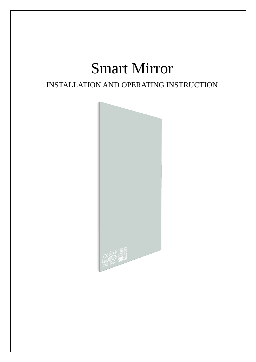# Smart Mirror

## INSTALLATION AND OPERATING INSTRUCTION

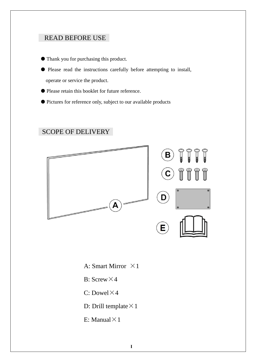## READ BEFORE USE

- Thank you for purchasing this product.
- Please read the instructions carefully before attempting to install, operate or service the product.
- Please retain this booklet for future reference.
- Pictures for reference only, subject to our available products

## SCOPE OF DELIVERY



- A: Smart Mirror  $\times 1$
- B: Screw $\times$ 4
- C: Dowel $\times$ 4
- D: Drill template  $\times$  1
- E: Manual  $\times$  1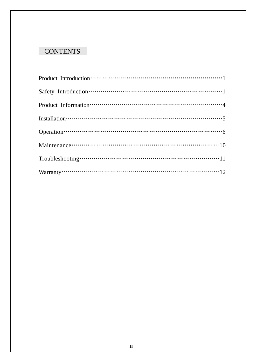## **CONTENTS**

| Installation $\cdots$ $\cdots$ $\cdots$ $\cdots$ $\cdots$ $\cdots$ $\cdots$ $\cdots$ $\cdots$ $\cdots$ $\cdots$ $\cdots$ $\cdots$ $\cdots$ $\cdots$ $\cdots$ $\cdots$ $\cdots$ $\cdots$ $\cdots$ $\cdots$ $\cdots$ $\cdots$ $\cdots$ $\cdots$ $\cdots$ $\cdots$ $\cdots$ $\cdots$ $\cdots$ $\cdots$ $\cdots$ $\cdots$ $\cdots$ $\cdots$ |  |
|-----------------------------------------------------------------------------------------------------------------------------------------------------------------------------------------------------------------------------------------------------------------------------------------------------------------------------------------|--|
|                                                                                                                                                                                                                                                                                                                                         |  |
| Maintenance $\cdots$ $\cdots$ $\cdots$ $\cdots$ $\cdots$ $\cdots$ $\cdots$ $\cdots$ $\cdots$ $\cdots$ $\cdots$ $\cdots$ $\cdots$ $\cdots$ $\cdots$ $\cdots$ $\cdots$ $\cdots$ $\cdots$ $\cdots$ $\cdots$                                                                                                                                |  |
| Troubleshooting $\cdots$ $\cdots$ $\cdots$ $\cdots$ $\cdots$ $\cdots$ $\cdots$ $\cdots$ $\cdots$ $\cdots$ $\cdots$ $\cdots$ $\cdots$ $\cdots$ $\cdots$ $\cdots$ $\cdots$                                                                                                                                                                |  |
| Warranty $\cdots$ $\cdots$ $\cdots$ $\cdots$ $\cdots$ $\cdots$ $\cdots$ $\cdots$ $\cdots$ $\cdots$ $\cdots$ $\cdots$ $\cdots$ $\cdots$ $\cdots$ $\cdots$ $\cdots$ $\cdots$                                                                                                                                                              |  |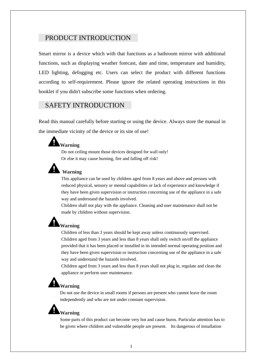#### PRODUCT INTRODUCTION

Smart mirror is a device which with that functions as a bathroom mirror with additional functions, such as displaying weather forecast, date and time, temperature and humidity, LED lighting, defogging etc. Users can select the product with different functions according to self-requirement. Please ignore the related operating instructions in this booklet if you didn't subscribe some functions when ordering.

#### SAFETY INTRODUCTION

Read this manual carefully before starting or using the device. Always store the manual in the immediate vicinity of the device or its site of use!

#### **Warning**

Do not ceiling mount those devices designed for wall only! Or else it may cause burning, fire and falling off risk!



#### **Warning**

This appliance can be used by children aged from 8 years and above and persons with reduced physical, sensory or mental capabilities or lack of experience and knowledge if they have been given supervision or instruction concerning use of the appliance in a safe way and understand the hazards involved.

Children shall not play with the appliance. Cleaning and user maintenance shall not be made by children without supervision.

## **Warning**

Children of less than 3 years should be kept away unless continuously supervised. Children aged from 3 years and less than 8 years shall only switch on/off the appliance provided that it has been placed or installed in its intended normal operating position and they have been given supervision or instruction concerning use of the appliance in a safe way and understand the hazards involved.

Children aged from 3 years and less than 8 years shall not plug in, regulate and clean the appliance or perform user maintenance.

## **Warning**

Do not use the device in small rooms if persons are present who cannot leave the room independently and who are not under constant supervision.

## **Warning**

Some parts of this product can become very hot and cause burns. Particular attention has to be given where children and vulnerable people are present. Its dangerous of installation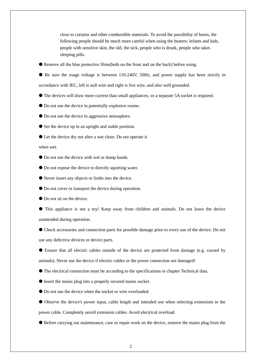close to curtains and other combustible materials. To avoid the possibility of burns, the following people should be much more careful when using the heaters: infants and kids, people with sensitive skin, the old, the sick, people who is drunk, people who takes sleeping pills.

Remove all the blue protective films(both on the front and on the back) before using.

 Be sure the usage voltage is between 110-240V, 50Hz, and power supply has been strictly in accordance with IEC, left is null wire and right is live wire, and also well grounded.

- The devices will draw more current than small appliances, so a separate 5A socket is required.
- Do not use the device in potentially explosive rooms.
- $\bullet$  Do not use the device in aggressive atmosphere.
- Set the device up in an upright and stable position.
- Let the device dry out after a wet clean. Do not operate it

when wet.

- Do not use the device with wet or damp hands.
- Do not expose the device to directly squirting water.
- Never insert any objects or limbs into the device.
- $\bullet$  Do not cover or transport the device during operation.
- Do not sit on the device.

 This appliance is not a toy! Keep away from children and animals. Do not leave the device unattended during operation.

 Check accessories and connection parts for possible damage prior to every use of the device. Do not use any defective devices or device parts.

 Ensure that all electric cables outside of the device are protected from damage (e.g. caused by animals). Never use the device if electric cables or the power connection are damaged!

The electrical connection must be according to the specifications in chapter Technical data.

- Insert the mains plug into a properly secured mains socket.
- $\bullet$  Do not use the device when the socket or wire overloaded.

 Observe the device's power input, cable length and intended use when selecting extensions to the power cable. Completely unroll extension cables. Avoid electrical overload.

Before carrying out maintenance, care or repair work on the device, remove the mains plug from the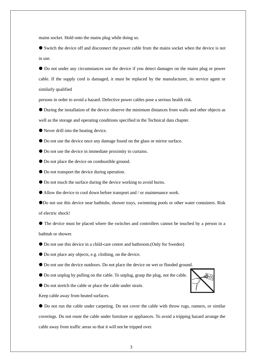mains socket. Hold onto the mains plug while doing so.

 Switch the device off and disconnect the power cable from the mains socket when the device is not in use.

 Do not under any circumstances use the device if you detect damages on the mains plug or power cable. If the supply cord is damaged, it must be replaced by the manufacturer, its service agent or similarly qualified

persons in order to avoid a hazard. Defective power cables pose a serious health risk.

 During the installation of the device observe the minimum distances from walls and other objects as well as the storage and operating conditions specified in the Technical data chapter.

Never drill into the heating device.

Do not use the device once any damage found on the glass or mirror surface.

Do not use the device in immediate proximity to curtains.

- Do not place the device on combustible ground.
- Do not transport the device during operation.
- Do not touch the surface during the device working to avoid burns.
- Allow the device to cool down before transport and / or maintenance work.
- Do not use this device near bathtubs, shower trays, swimming pools or other water containers. Risk of electric shock!

 The device must be placed where the switches and controllers cannot be touched by a person in a bathtub or shower.

- Do not use this device in a child-care centre and bathroom.(Only for Sweden)
- Do not place any objects, e.g. clothing, on the device.
- Do not use the device outdoors. Do not place the device on wet or flooded ground.
- Do not unplug by pulling on the cable. To unplug, grasp the plug, not the cable.
- Do not stretch the cable or place the cable under strain.

Keep cable away from heated surfaces.

 Do not run the cable under carpeting. Do not cover the cable with throw rugs, runners, or similar coverings. Do not route the cable under furniture or appliances. To avoid a tripping hazard arrange the cable away from traffic areas so that it will not be tripped over.

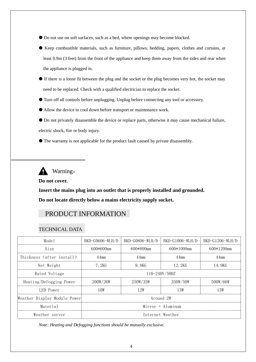- Do not use on soft surfaces, such as a bed, where openings may become blocked.
- Keep combustible materials, such as furniture, pillows, bedding, papers, clothes and curtains, at least 0.9m (3 feet) from the front of the appliance and keep them away from the sides and rear when the appliance is plugged in.
- If there is a loose fit between the plug and the socket or the plug becomes very hot, the socket may need to be replaced. Check with a qualified electrician to replace the socket.
- Turn off all controls before unplugging. Unplug before connecting any tool or accessory.
- Allow the device to cool down before transport or maintenance work.

 Do not privately disassemble the device or replace parts, otherwise it may cause mechanical failure, electric shock, fire or body injury.

The warranty is not applicable for the product fault caused by private disassembly.

Warning:

#### **Do not cover.**

**Insert the mains plug into an outlet that is properly installed and grounded. Do not locate directly below a mains electricity supply socket.**

#### PRODUCT INFORMATION

#### TECHNICAL DATA

| Model                        | BKD-G0606-WLH/D     | BKD-G0806-WLH/D | BKD-G1006-WLH/D | BKD-G1206-WLH/D |
|------------------------------|---------------------|-----------------|-----------------|-----------------|
| Size                         | 600*600mm           | 600*800mm       | $600*1000$ mm   | $600*1200$ mm   |
| Thickness (after install)    | $44$ mm             | $44$ mm         | $44$ mm         | $44$ mm         |
| Net Weight                   | 7.2KG               | 9.8KG           | 12.2KG          | 14.9KG          |
| Rated Voltage                | 110-240V/50HZ       |                 |                 |                 |
| Heating/Defogging Power      | 200W/26W            | 250W/35W        | 350W/50W        | 500W/66W        |
| LED Power                    | 10W                 | 12W             | 13W             | 15W             |
| Weather Display Module Power | Around 2W           |                 |                 |                 |
| Material                     | $Mirror + Aluminum$ |                 |                 |                 |
| Weather server               | Internet Weather    |                 |                 |                 |

*Note: Heating and Defogging functions should be mutually exclusive.*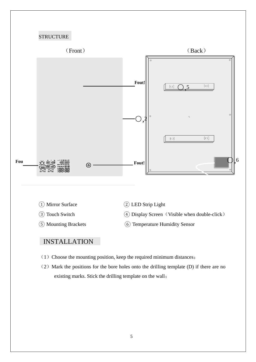## **STRUCTURE**



- 
- 

- ① Mirror Surface ② LED Strip Light
- ③ Touch Switch ④ Display Screen(Visible when double-click)
- ⑤ Mounting Brackets ⑥ Temperature Humidity Sensor

#### INSTALLATION

- $(1)$  Choose the mounting position, keep the required minimum distances;
- $(2)$  Mark the positions for the bore holes onto the drilling template (D) if there are no existing marks. Stick the drilling template on the wall;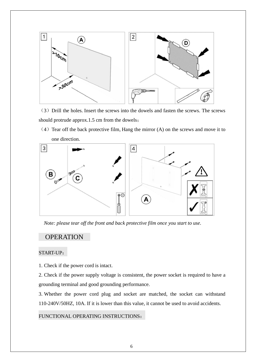

(3) Drill the holes. Insert the screws into the dowels and fasten the screws. The screws should protrude approx.1.5 cm from the dowels;

 $(4)$  Tear off the back protective film, Hang the mirror  $(A)$  on the screws and move it to one direction.



*Note: please tear off the front and back protective film once you start to use.*

#### OPERATION

#### START-UP:

1. Check if the power cord is intact.

2. Check if the power supply voltage is consistent, the power socket is required to have a grounding terminal and good grounding performance.

3. Whether the power cord plug and socket are matched, the socket can withstand 110-240V/50HZ, 10A. If it is lower than this value, it cannot be used to avoid accidents.

#### FUNCTIONAL OPERATING INSTRUCTIONS: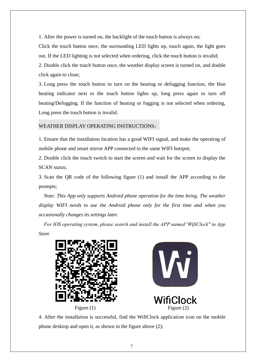1. After the power is turned on, the backlight of the touch button is always on;

Click the touch button once, the surrounding LED lights up, touch again, the light goes out. If the LED lighting is not selected when ordering, click the touch button is invalid;

2. Double click the touch button once, the weather display screen is turned on, and double click again to close;

3. Long press the touch button to turn on the heating or defogging function, the blue heating indicator next to the touch button lights up, long press again to turn off heating/Defogging. If the function of heating or fogging is not selected when ordering, Long press the touch button is invalid.

#### WEATHER DISPLAY OPERATING INSTRUCTIONS:

1. Ensure that the installation location has a good WIFI signal, and make the operating of mobile phone and smart mirror APP connected to the same WIFI hotspot;

2. Double click the touch switch to start the screen and wait for the screen to display the SCAN status;

3. Scan the QR code of the following figure (1) and install the APP according to the prompts;

*Note: This App only supports Android phone operation for the time being. The weather display WIFI needs to use the Android phone only for the first time and when you occasionally changes its settings later.*

*For IOS operating system, please search and install the APP named"WifiClock" in App Store* 





4. After the installation is successful, find the WifiClock application icon on the mobile phone desktop and open it, as shown in the figure above (2);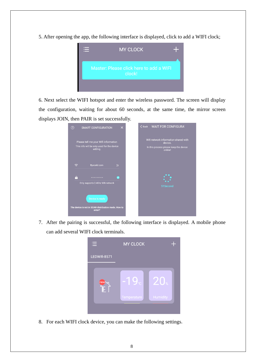5. After opening the app, the following interface is displayed, click to add a WIFI clock;



6. Next select the WIFI hotspot and enter the wireless password. The screen will display the configuration, waiting for about 60 seconds, at the same time, the mirror screen displays JOIN, then PAIR is set successfully.



7. After the pairing is successful, the following interface is displayed. A mobile phone can add several WIFI clock terminals.



8. For each WIFI clock device, you can make the following settings.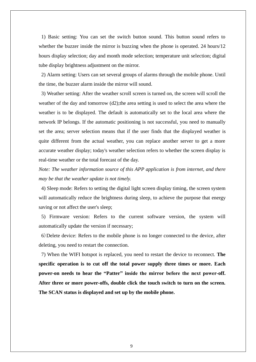1) Basic setting: You can set the switch button sound. This button sound refers to whether the buzzer inside the mirror is buzzing when the phone is operated. 24 hours/12 hours display selection; day and month mode selection; temperature unit selection; digital tube display brightness adjustment on the mirror.

2) Alarm setting: Users can set several groups of alarms through the mobile phone. Until the time, the buzzer alarm inside the mirror will sound.

3) Weather setting: After the weather scroll screen is turned on, the screen will scroll the weather of the day and tomorrow (d2); the area setting is used to select the area where the weather is to be displayed. The default is automatically set to the local area where the network IP belongs. If the automatic positioning is not successful, you need to manually set the area; server selection means that if the user finds that the displayed weather is quite different from the actual weather, you can replace another server to get a more accurate weather display; today's weather selection refers to whether the screen display is real-time weather or the total forecast of the day.

*Note: The weather information source of this APP application is from internet, and there may be that the weather update is not timely.*

4) Sleep mode: Refers to setting the digital light screen display timing, the screen system will automatically reduce the brightness during sleep, to achieve the purpose that energy saving or not affect the user's sleep;

5) Firmware version: Refers to the current software version, the system will automatically update the version if necessary;

6)Delete device: Refers to the mobile phone is no longer connected to the device, after deleting, you need to restart the connection.

7) When the WIFI hotspot is replaced, you need to restart the device to reconnect. **The specific operation is to cut off the total power supply three times or more. Each power-on needs to hear the "Patter" inside the mirror before the next power-off. After three or more power-offs, double click the touch switch to turn on the screen. The SCAN status is displayed and set up by the mobile phone.**

9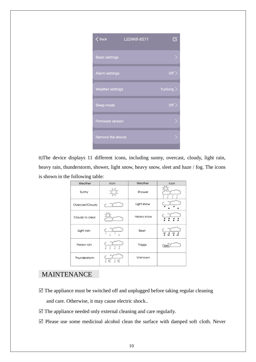| <b>Back</b>             | LEDWifi-8571 |               |
|-------------------------|--------------|---------------|
| <b>Basic settings</b>   |              |               |
| Alarm settings          |              | Off $\rangle$ |
| <b>Weather settings</b> |              | Yunlong $>$   |
| Sleep mode              |              | Off $\rangle$ |
| <b>Firmware version</b> |              |               |
| Remove the device       |              |               |
|                         |              |               |

8)The device displays 11 different icons, including sunny, overcast, cloudy, light rain, heavy rain, thunderstorm, shower, light snow, heavy snow, sleet and haze / fog. The icons is shown in the following table:

| Weather         | Icon                                                                                                                                                        | Weather    | Icon                                                             |
|-----------------|-------------------------------------------------------------------------------------------------------------------------------------------------------------|------------|------------------------------------------------------------------|
| Sunny           |                                                                                                                                                             | Shower     | $\frac{0}{n}$<br>$\frac{0}{0}$<br>$\frac{0}{n}$<br>$\frac{0}{n}$ |
| Overcast/Cloudy |                                                                                                                                                             | Light snow |                                                                  |
| Cloudy to clear |                                                                                                                                                             | Heavy snow |                                                                  |
| Light rain      | $\theta$<br>$\Omega$<br>$\theta$                                                                                                                            | Sleet      | no                                                               |
| Heavy rain      | $\begin{smallmatrix}0\\0\\0\end{smallmatrix}$<br>$\begin{matrix} 0 \\ 0 \end{matrix}$<br>$\overset{0}{\circ}$<br>$\begin{smallmatrix}0\\0\end{smallmatrix}$ | Foggy      |                                                                  |
| Thunderstorm    | $\int_{0}^{0}$<br>$\oint_{0}^{0}$<br>$\frac{0}{0}$<br>$40^{\circ}$                                                                                          | Unknown    |                                                                  |

## MAINTENANCE

- $\boxtimes$  The appliance must be switched off and unplugged before taking regular cleaning and care. Otherwise, it may cause electric shock..
- $\boxtimes$  The appliance needed only external cleaning and care regularly.
- $\boxtimes$  Please use some medicinal alcohol clean the surface with damped soft cloth. Never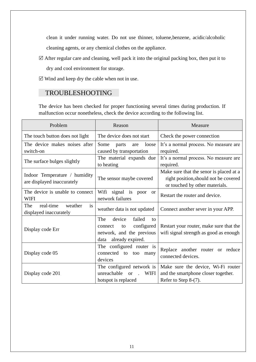clean it under running water. Do not use thinner, toluene,benzene, acidic/alcoholic cleaning agents, or any chemical clothes on the appliance.

- $\boxtimes$  After regular care and cleaning, well pack it into the original packing box, then put it to dry and cool environment for storage.
- $\boxtimes$  Wind and keep dry the cable when not in use.

#### TROUBLESHOOTING

The device has been checked for proper functioning several times during production. If malfunction occur nonetheless, check the device according to the following list.

| Problem                                  | Reason                                      | Measure                                 |  |
|------------------------------------------|---------------------------------------------|-----------------------------------------|--|
| The touch button does not light          | The device does not start                   | Check the power connection              |  |
| The device makes noises after            | Some<br>loose<br>parts<br>are               | It's a normal process. No measure are   |  |
| switch-on                                | caused by transportation                    | required.                               |  |
| The surface bulges slightly              | The material expands due                    | It's a normal process. No measure are   |  |
|                                          | to heating                                  | required.                               |  |
| Indoor Temperature / humidity            |                                             | Make sure that the senor is placed at a |  |
| are displayed inaccurately               | The sensor maybe covered                    | right position, should not be covered   |  |
|                                          |                                             | or touched by other materials.          |  |
| The device is unable to connect          | Wifi<br>signal is poor<br><b>or</b>         | Restart the router and device.          |  |
| <b>WIFI</b>                              | network failures                            |                                         |  |
| real-time<br>The<br>weather<br><i>is</i> | weather data is not updated                 | Connect another sever in your APP.      |  |
| displayed inaccurately                   |                                             |                                         |  |
|                                          | The<br>device<br>failed<br>to               |                                         |  |
| Display code Err                         | configured<br>connect<br>to                 | Restart your router, make sure that the |  |
|                                          | network, and the previous                   | wifi signal strength as good as enough  |  |
|                                          | already expired.<br>data                    |                                         |  |
|                                          | The configured router is                    | Replace another router or reduce        |  |
| Display code 05                          | connected to too<br>many                    | connected devices.                      |  |
|                                          | devices                                     |                                         |  |
|                                          | The configured network is                   | Make sure the device, Wi-Fi router      |  |
| Display code 201                         | unreachable<br><b>WIFI</b><br><sub>or</sub> | and the smartphone closer together.     |  |
|                                          | hotspot is replaced                         | Refer to Step 8-(7).                    |  |